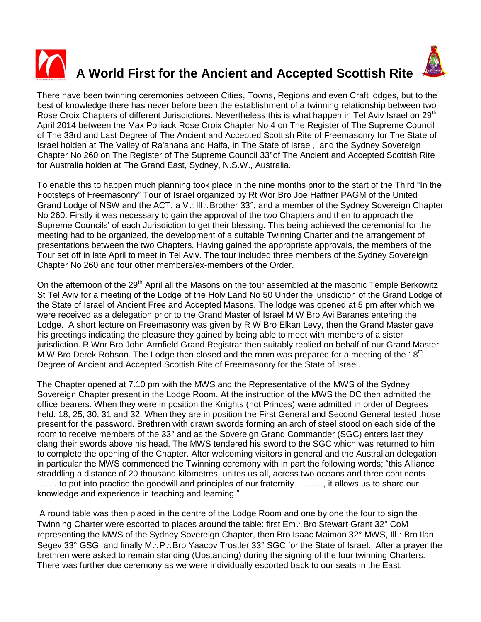

## **A World First for the Ancient and Accepted Scottish Rite**



There have been twinning ceremonies between Cities, Towns, Regions and even Craft lodges, but to the best of knowledge there has never before been the establishment of a twinning relationship between two Rose Croix Chapters of different Jurisdictions. Nevertheless this is what happen in Tel Aviv Israel on 29<sup>th</sup> April 2014 between the Max Polliack Rose Croix Chapter No 4 on The Register of The Supreme Council of The 33rd and Last Degree of The Ancient and Accepted Scottish Rite of Freemasonry for The State of Israel holden at The Valley of Ra'anana and Haifa, in The State of Israel, and the Sydney Sovereign Chapter No 260 on The Register of The Supreme Council 33°of The Ancient and Accepted Scottish Rite for Australia holden at The Grand East, Sydney, N.S.W., Australia.

To enable this to happen much planning took place in the nine months prior to the start of the Third "In the Footsteps of Freemasonry" Tour of Israel organized by Rt Wor Bro Joe Haffner PAGM of the United Grand Lodge of NSW and the ACT, a  $V: \text{III}$ : Brother 33°, and a member of the Sydney Sovereign Chapter No 260. Firstly it was necessary to gain the approval of the two Chapters and then to approach the Supreme Councils' of each Jurisdiction to get their blessing. This being achieved the ceremonial for the meeting had to be organized, the development of a suitable Twinning Charter and the arrangement of presentations between the two Chapters. Having gained the appropriate approvals, the members of the Tour set off in late April to meet in Tel Aviv. The tour included three members of the Sydney Sovereign Chapter No 260 and four other members/ex-members of the Order.

On the afternoon of the 29<sup>th</sup> April all the Masons on the tour assembled at the masonic Temple Berkowitz St Tel Aviv for a meeting of the Lodge of the Holy Land No 50 Under the jurisdiction of the Grand Lodge of the State of Israel of Ancient Free and Accepted Masons. The lodge was opened at 5 pm after which we were received as a delegation prior to the Grand Master of Israel M W Bro Avi Baranes entering the Lodge. A short lecture on Freemasonry was given by R W Bro Elkan Levy, then the Grand Master gave his greetings indicating the pleasure they gained by being able to meet with members of a sister jurisdiction. R Wor Bro John Armfield Grand Registrar then suitably replied on behalf of our Grand Master M W Bro Derek Robson. The Lodge then closed and the room was prepared for a meeting of the 18<sup>th</sup> Degree of Ancient and Accepted Scottish Rite of Freemasonry for the State of Israel.

The Chapter opened at 7.10 pm with the MWS and the Representative of the MWS of the Sydney Sovereign Chapter present in the Lodge Room. At the instruction of the MWS the DC then admitted the office bearers. When they were in position the Knights (not Princes) were admitted in order of Degrees held: 18, 25, 30, 31 and 32. When they are in position the First General and Second General tested those present for the password. Brethren with drawn swords forming an arch of steel stood on each side of the room to receive members of the 33° and as the Sovereign Grand Commander (SGC) enters last they clang their swords above his head. The MWS tendered his sword to the SGC which was returned to him to complete the opening of the Chapter. After welcoming visitors in general and the Australian delegation in particular the MWS commenced the Twinning ceremony with in part the following words; "this Alliance straddling a distance of 20 thousand kilometres, unites us all, across two oceans and three continents ....... to put into practice the goodwill and principles of our fraternity. ........, it allows us to share our knowledge and experience in teaching and learning."

A round table was then placed in the centre of the Lodge Room and one by one the four to sign the Twinning Charter were escorted to places around the table: first  $Em \cdot$ . Bro Stewart Grant 32 $^{\circ}$  CoM representing the MWS of the Sydney Sovereign Chapter, then Bro Isaac Maimon  $32^{\circ}$  MWS, III.: Bro Ilan Segev 33° GSG, and finally M.: P.: Bro Yaacov Trostler 33° SGC for the State of Israel. After a prayer the brethren were asked to remain standing (Upstanding) during the signing of the four twinning Charters. There was further due ceremony as we were individually escorted back to our seats in the East.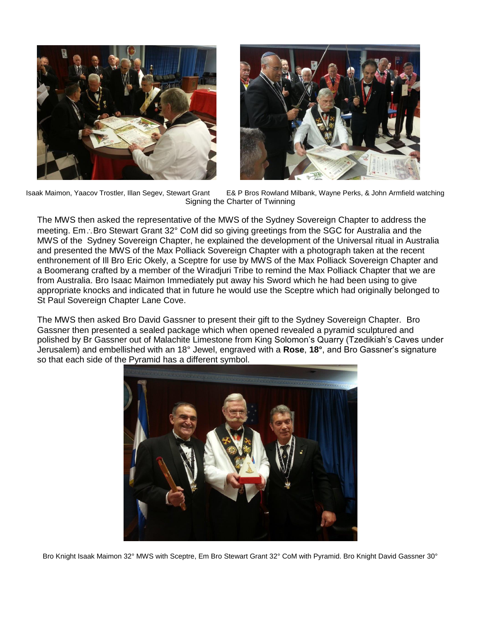



Isaak Maimon, Yaacov Trostler, Illan Segev, Stewart Grant E& P Bros Rowland Milbank, Wayne Perks, & John Armfield watching Signing the Charter of Twinning

The MWS then asked the representative of the MWS of the Sydney Sovereign Chapter to address the meeting. Em.: Bro Stewart Grant 32° CoM did so giving greetings from the SGC for Australia and the MWS of the Sydney Sovereign Chapter, he explained the development of the Universal ritual in Australia and presented the MWS of the Max Polliack Sovereign Chapter with a photograph taken at the recent enthronement of Ill Bro Eric Okely, a Sceptre for use by MWS of the Max Polliack Sovereign Chapter and a Boomerang crafted by a member of the Wiradjuri Tribe to remind the Max Polliack Chapter that we are from Australia. Bro Isaac Maimon Immediately put away his Sword which he had been using to give appropriate knocks and indicated that in future he would use the Sceptre which had originally belonged to St Paul Sovereign Chapter Lane Cove.

The MWS then asked Bro David Gassner to present their gift to the Sydney Sovereign Chapter. Bro Gassner then presented a sealed package which when opened revealed a pyramid sculptured and polished by Br Gassner out of Malachite Limestone from King Solomon's Quarry (Tzedikiah's Caves under Jerusalem) and embellished with an 18° Jewel, engraved with a **Rose**, **18°**, and Bro Gassner's signature so that each side of the Pyramid has a different symbol.



Bro Knight Isaak Maimon 32° MWS with Sceptre, Em Bro Stewart Grant 32° CoM with Pyramid. Bro Knight David Gassner 30°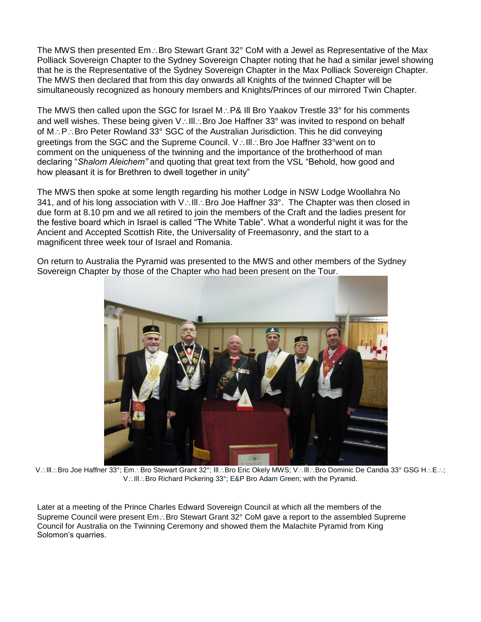The MWS then presented  $Em \cdot$ . Bro Stewart Grant 32 $^{\circ}$  CoM with a Jewel as Representative of the Max Polliack Sovereign Chapter to the Sydney Sovereign Chapter noting that he had a similar jewel showing that he is the Representative of the Sydney Sovereign Chapter in the Max Polliack Sovereign Chapter. The MWS then declared that from this day onwards all Knights of the twinned Chapter will be simultaneously recognized as honoury members and Knights/Princes of our mirrored Twin Chapter.

The MWS then called upon the SGC for Israel M.: P& III Bro Yaakov Trestle 33° for his comments and well wishes. These being given V: Ill: Bro Joe Haffner 33° was invited to respond on behalf of  $M \cdot P \cdot$  Bro Peter Rowland 33° SGC of the Australian Jurisdiction. This he did conveying greetings from the SGC and the Supreme Council. V: Ill: Bro Joe Haffner 33°went on to comment on the uniqueness of the twinning and the importance of the brotherhood of man declaring "*Shalom Aleichem"* and quoting that great text from the VSL "Behold, how good and how pleasant it is for Brethren to dwell together in unity"

The MWS then spoke at some length regarding his mother Lodge in NSW Lodge Woollahra No 341, and of his long association with V: III: Bro Joe Haffner 33°. The Chapter was then closed in due form at 8.10 pm and we all retired to join the members of the Craft and the ladies present for the festive board which in Israel is called "The White Table". What a wonderful night it was for the Ancient and Accepted Scottish Rite, the Universality of Freemasonry, and the start to a magnificent three week tour of Israel and Romania.

On return to Australia the Pyramid was presented to the MWS and other members of the Sydney Sovereign Chapter by those of the Chapter who had been present on the Tour.



V: Ill.: Bro Joe Haffner 33°; Em.: Bro Stewart Grant 32°; Ill.: Bro Eric Okely MWS; V: Ill.: Bro Dominic De Candia 33° GSG H.: E.: ; V: III: Bro Richard Pickering 33°; E&P Bro Adam Green; with the Pyramid.

Later at a meeting of the Prince Charles Edward Sovereign Council at which all the members of the Supreme Council were present Em.: Bro Stewart Grant 32° CoM gave a report to the assembled Supreme Council for Australia on the Twinning Ceremony and showed them the Malachite Pyramid from King Solomon's quarries.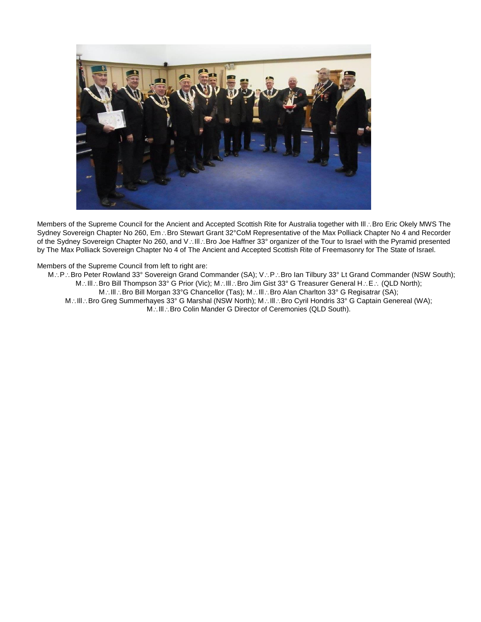

Members of the Supreme Council for the Ancient and Accepted Scottish Rite for Australia together with III . Bro Eric Okely MWS The Sydney Sovereign Chapter No 260, Em .: Bro Stewart Grant 32°CoM Representative of the Max Polliack Chapter No 4 and Recorder of the Sydney Sovereign Chapter No 260, and V: Ill: Bro Joe Haffner 33° organizer of the Tour to Israel with the Pyramid presented by The Max Polliack Sovereign Chapter No 4 of The Ancient and Accepted Scottish Rite of Freemasonry for The State of Israel.

Members of the Supreme Council from left to right are:

M.: P.: Bro Peter Rowland 33° Sovereign Grand Commander (SA); V.: P.: Bro Ian Tilbury 33° Lt Grand Commander (NSW South); M.: III.: Bro Bill Thompson 33° G Prior (Vic); M.: III.: Bro Jim Gist 33° G Treasurer General H.: E.: (QLD North); M.: III.: Bro Bill Morgan 33°G Chancellor (Tas); M.: III.: Bro Alan Charlton 33° G Regisatrar (SA); M.: III.: Bro Greg Summerhayes 33° G Marshal (NSW North); M.: III.: Bro Cyril Hondris 33° G Captain Genereal (WA); M.: III.: Bro Colin Mander G Director of Ceremonies (QLD South).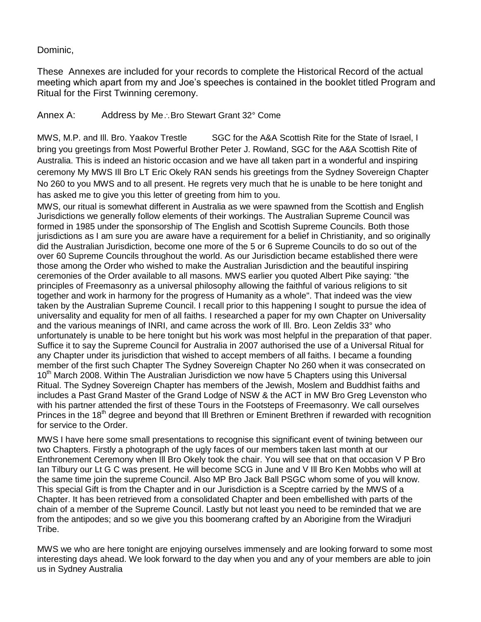## Dominic,

These Annexes are included for your records to complete the Historical Record of the actual meeting which apart from my and Joe's speeches is contained in the booklet titled Program and Ritual for the First Twinning ceremony.

## Annex A: Address by Me∴Bro Stewart Grant 32° Come

MWS, M.P. and III. Bro. Yaakov Trestle SGC for the A&A Scottish Rite for the State of Israel, I bring you greetings from Most Powerful Brother Peter J. Rowland, SGC for the A&A Scottish Rite of Australia. This is indeed an historic occasion and we have all taken part in a wonderful and inspiring ceremony My MWS Ill Bro LT Eric Okely RAN sends his greetings from the Sydney Sovereign Chapter No 260 to you MWS and to all present. He regrets very much that he is unable to be here tonight and has asked me to give you this letter of greeting from him to you.

MWS, our ritual is somewhat different in Australia as we were spawned from the Scottish and English Jurisdictions we generally follow elements of their workings. The Australian Supreme Council was formed in 1985 under the sponsorship of The English and Scottish Supreme Councils. Both those jurisdictions as I am sure you are aware have a requirement for a belief in Christianity, and so originally did the Australian Jurisdiction, become one more of the 5 or 6 Supreme Councils to do so out of the over 60 Supreme Councils throughout the world. As our Jurisdiction became established there were those among the Order who wished to make the Australian Jurisdiction and the beautiful inspiring ceremonies of the Order available to all masons. MWS earlier you quoted Albert Pike saying: "the principles of Freemasonry as a universal philosophy allowing the faithful of various religions to sit together and work in harmony for the progress of Humanity as a whole". That indeed was the view taken by the Australian Supreme Council. I recall prior to this happening I sought to pursue the idea of universality and equality for men of all faiths. I researched a paper for my own Chapter on Universality and the various meanings of INRI, and came across the work of Ill. Bro. Leon Zeldis 33° who unfortunately is unable to be here tonight but his work was most helpful in the preparation of that paper. Suffice it to say the Supreme Council for Australia in 2007 authorised the use of a Universal Ritual for any Chapter under its jurisdiction that wished to accept members of all faiths. I became a founding member of the first such Chapter The Sydney Sovereign Chapter No 260 when it was consecrated on  $10<sup>th</sup>$  March 2008. Within The Australian Jurisdiction we now have 5 Chapters using this Universal Ritual. The Sydney Sovereign Chapter has members of the Jewish, Moslem and Buddhist faiths and includes a Past Grand Master of the Grand Lodge of NSW & the ACT in MW Bro Greg Levenston who with his partner attended the first of these Tours in the Footsteps of Freemasonry. We call ourselves Princes in the 18<sup>th</sup> degree and beyond that III Brethren or Eminent Brethren if rewarded with recognition for service to the Order.

MWS I have here some small presentations to recognise this significant event of twining between our two Chapters. Firstly a photograph of the ugly faces of our members taken last month at our Enthronement Ceremony when Ill Bro Okely took the chair. You will see that on that occasion V P Bro Ian Tilbury our Lt G C was present. He will become SCG in June and V Ill Bro Ken Mobbs who will at the same time join the supreme Council. Also MP Bro Jack Ball PSGC whom some of you will know. This special Gift is from the Chapter and in our Jurisdiction is a Sceptre carried by the MWS of a Chapter. It has been retrieved from a consolidated Chapter and been embellished with parts of the chain of a member of the Supreme Council. Lastly but not least you need to be reminded that we are from the antipodes; and so we give you this boomerang crafted by an Aborigine from the Wiradjuri Tribe.

MWS we who are here tonight are enjoying ourselves immensely and are looking forward to some most interesting days ahead. We look forward to the day when you and any of your members are able to join us in Sydney Australia